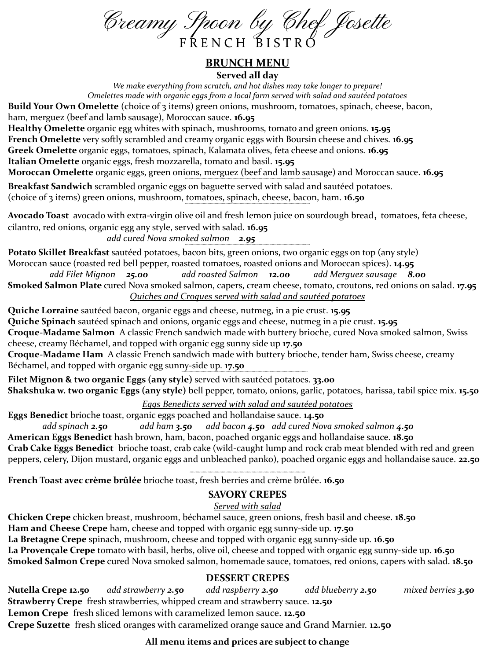Creamy Spoon by Chef Josette

#### **BRUNCH MENU** Served all day

We make everything from scratch, and hot dishes may take longer to prepare! Omelettes made with organic eggs from a local farm served with salad and sautéed potatoes Build Your Own Omelette (choice of 3 items) green onions, mushroom, tomatoes, spinach, cheese, bacon, ham, merguez (beef and lamb sausage), Moroccan sauce. 16.95 Healthy Omelette organic egg whites with spinach, mushrooms, tomato and green onions. 15.95

**French Omelette** very softly scrambled and creamy organic eggs with Boursin cheese and chives. 16.95 Greek Omelette organic eggs, tomatoes, spinach, Kalamata olives, feta cheese and onions. 16.95 Italian Omelette organic eggs, fresh mozzarella, tomato and basil. 15.95

Moroccan Omelette organic eggs, green onions, merguez (beef and lamb sausage) and Moroccan sauce. 16.95

Breakfast Sandwich scrambled organic eggs on baguette served with salad and sautéed potatoes. (choice of 3 items) green onions, mushroom, tomatoes, spinach, cheese, bacon, ham. 16.50

Avocado Toast avocado with extra-virgin olive oil and fresh lemon juice on sourdough bread, tomatoes, feta cheese, cilantro, red onions, organic egg any style, served with salad. 16.95

add cured Nova smoked salmon 2.95

Potato Skillet Breakfast sautéed potatoes, bacon bits, green onions, two organic eggs on top (any style) Moroccan sauce (roasted red bell pepper, roasted tomatoes, roasted onions and Moroccan spices). 14.95

add Filet Mignon 25.00 add roasted Salmon 12.00 add Merguez sausage 8.00 **Smoked Salmon Plate** cured Nova smoked salmon, capers, cream cheese, tomato, croutons, red onions on salad. 17.95 Ouiches and Croaues served with salad and sautéed potatoes

Quiche Lorraine sautéed bacon, organic eggs and cheese, nutmeg, in a pie crust. 15.95 Quiche Spinach sautéed spinach and onions, organic eggs and cheese, nutmeg in a pie crust. 15.95 Croque-Madame Salmon A classic French sandwich made with buttery brioche, cured Nova smoked salmon, Swiss cheese, creamy Béchamel, and topped with organic egg sunny side up 17.50 Croque-Madame Ham A classic French sandwich made with buttery brioche, tender ham, Swiss cheese, creamy Béchamel, and topped with organic egg sunny-side up. 17.50

Filet Mignon & two organic Eggs (any style) served with sautéed potatoes. 33.00 Shakshuka w. two organic Eggs (any style) bell pepper, tomato, onions, garlic, potatoes, harissa, tabil spice mix. 15.50

#### Eggs Benedicts served with salad and sautéed potatoes

Eggs Benedict brioche toast, organic eggs poached and hollandaise sauce. 14.50

add spinach 2.50 add ham 3.50 add bacon 4.50 add cured Nova smoked salmon 4.50 American Eggs Benedict hash brown, ham, bacon, poached organic eggs and hollandaise sauce. 18.50 Crab Cake Eggs Benedict brioche toast, crab cake (wild-caught lump and rock crab meat blended with red and green peppers, celery, Dijon mustard, organic eggs and unbleached panko), poached organic eggs and hollandaise sauce. 22.50

French Toast avec crème brûlée brioche toast, fresh berries and crème brûlée. 16.50

## **SAVORY CREPES**

## Served with salad

Chicken Crepe chicken breast, mushroom, béchamel sauce, green onions, fresh basil and cheese. 18.50 Ham and Cheese Crepe ham, cheese and topped with organic egg sunny-side up. 17.50 La Bretagne Crepe spinach, mushroom, cheese and topped with organic egg sunny-side up. 16.50 La Provençale Crepe tomato with basil, herbs, olive oil, cheese and topped with organic egg sunny-side up. 16.50 Smoked Salmon Crepe cured Nova smoked salmon, homemade sauce, tomatoes, red onions, capers with salad. 18.50

## **DESSERT CREPES**

Nutella Crepe 12.50 add strawberry 2.50 add raspberry 2.50 add blueberry **2.50** mixed berries 3.50 Strawberry Crepe fresh strawberries, whipped cream and strawberry sauce. 12.50 Lemon Crepe fresh sliced lemons with caramelized lemon sauce. 12.50 Crepe Suzette fresh sliced oranges with caramelized orange sauce and Grand Marnier. 12.50

# All menu items and prices are subject to change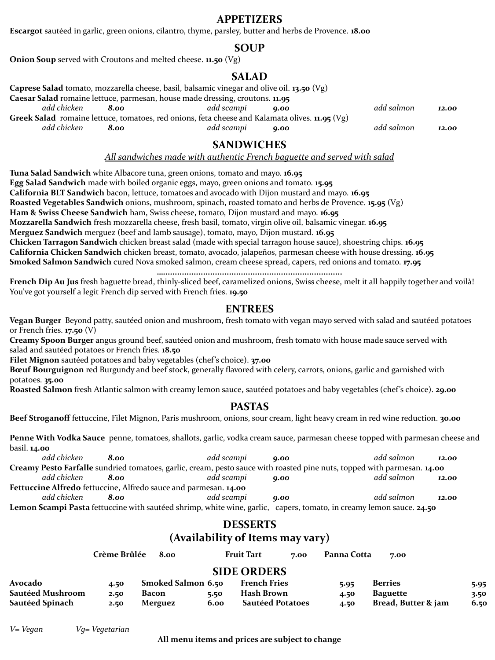#### **APPETIZERS**

**Escargot** sautéed in garlic, green onions, cilantro, thyme, parsley, butter and herbs de Provence. **18.00**

#### **SOUP**

**Onion Soup** served with Croutons and melted cheese. **11.50** (Vg)

#### **SALAD**

|                                                                                                  |             | Caprese Salad tomato, mozzarella cheese, basil, balsamic vinegar and olive oil. 13.50 (Vg) |            |      |            |       |
|--------------------------------------------------------------------------------------------------|-------------|--------------------------------------------------------------------------------------------|------------|------|------------|-------|
|                                                                                                  |             | Caesar Salad romaine lettuce, parmesan, house made dressing, croutons. 11.95               |            |      |            |       |
|                                                                                                  | add chicken | 8.00                                                                                       | add scampi | 0.00 | add salmon | 12.00 |
| Greek Salad romaine lettuce, tomatoes, red onions, feta cheese and Kalamata olives. $11.95$ (Vg) |             |                                                                                            |            |      |            |       |
|                                                                                                  | add chicken | 8.00                                                                                       | add scampi | 0.00 | add salmon | 12.00 |

#### **SANDWICHES**

*All sandwiches made with authentic French baguette and served with salad*

**Tuna Salad Sandwich** white Albacore tuna, green onions, tomato and mayo. **16.95 Egg Salad Sandwich** made with boiled organic eggs, mayo, green onions and tomato. **15.95 California BLT Sandwich** bacon, lettuce, tomatoes and avocado with Dijon mustard and mayo. **16.95 Roasted Vegetables Sandwich** onions, mushroom, spinach, roasted tomato and herbs de Provence. **15.95** (Vg) **Ham & Swiss Cheese Sandwich** ham, Swiss cheese, tomato, Dijon mustard and mayo. **16.95 Mozzarella Sandwich** fresh mozzarella cheese, fresh basil, tomato, virgin olive oil, balsamic vinegar. **16.95 Merguez Sandwich** merguez (beef and lamb sausage), tomato, mayo, Dijon mustard. **16.95 Chicken Tarragon Sandwich** chicken breast salad (made with special tarragon house sauce), shoestring chips. **16.95 California Chicken Sandwich** chicken breast, tomato, avocado, jalapeños, parmesan cheese with house dressing. **16.95 Smoked Salmon Sandwich** cured Nova smoked salmon, cream cheese spread, capers, red onions and tomato. **17.95**

**French Dip Au Jus** fresh baguette bread, thinly-sliced beef, caramelized onions, Swiss cheese, melt it all happily together and voilà! You've got yourself a legit French dip served with French fries. **19.50**

#### **ENTREES**

**…............................................................................**

**Vegan Burger** Beyond patty, sautéed onion and mushroom, fresh tomato with vegan mayo served with salad and sautéed potatoes or French fries. **17.50** (V)

**Creamy Spoon Burger** angus ground beef, sautéed onion and mushroom, fresh tomato with house made sauce served with salad and sautéed potatoes or French fries. **18.50**

**Filet Mignon** sautéed potatoes and baby vegetables (chef's choice). **37.00**

**Bœuf Bourguignon** red Burgundy and beef stock, generally flavored with celery, carrots, onions, garlic and garnished with potatoes. **35.00**

**Roasted Salmon** fresh Atlantic salmon with creamy lemon sauce**,** sautéed potatoes and baby vegetables (chef's choice). **29.00**

#### **PASTAS**

**Beef Stroganoff** fettuccine, Filet Mignon, Paris mushroom, onions, sour cream, light heavy cream in red wine reduction. **30.00**

**Penne With Vodka Sauce** penne, tomatoes, shallots, garlic, vodka cream sauce, parmesan cheese topped with parmesan cheese and basil. **14.00**

| add chicken                                                             | 8.00 | add scampi | 0.00 | add salmon                                                                                                              | 12.00 |  |
|-------------------------------------------------------------------------|------|------------|------|-------------------------------------------------------------------------------------------------------------------------|-------|--|
|                                                                         |      |            |      | Creamy Pesto Farfalle sundried tomatoes, garlic, cream, pesto sauce with roasted pine nuts, topped with parmesan. 14.00 |       |  |
| add chicken                                                             | 8.00 | add scampi | 0.00 | add salmon                                                                                                              | 12.00 |  |
| <b>Fettuccine Alfredo</b> fettuccine, Alfredo sauce and parmesan. 14.00 |      |            |      |                                                                                                                         |       |  |
| add chicken                                                             | 8.00 | add scampi | 0.00 | add salmon                                                                                                              | 12.00 |  |
|                                                                         |      |            |      | Lemon Scampi Pasta fettuccine with sautéed shrimp, white wine, garlic, capers, tomato, in creamy lemon sauce. 24.50     |       |  |

#### **DESSERTS (Availability of Items may vary)**

|                  | Crème Brûlée | 8.00               |      | <b>Fruit Tart</b>       | 7.00 | Panna Cotta | 7.00                |      |
|------------------|--------------|--------------------|------|-------------------------|------|-------------|---------------------|------|
|                  |              |                    |      | <b>SIDE ORDERS</b>      |      |             |                     |      |
| Avocado          | 4.50         | Smoked Salmon 6.50 |      | <b>French Fries</b>     |      | 5.95        | <b>Berries</b>      | 5.95 |
| Sautéed Mushroom | 2.50         | Bacon              | 5.50 | Hash Brown              |      | 4.50        | <b>Baguette</b>     | 3.50 |
| Sautéed Spinach  | 2.50         | Merguez            | 6.00 | <b>Sautéed Potatoes</b> |      | 4.50        | Bread, Butter & jam | 6.50 |

*V= Vegan Vg= Vegetarian*

**All menu items and prices are subject to change**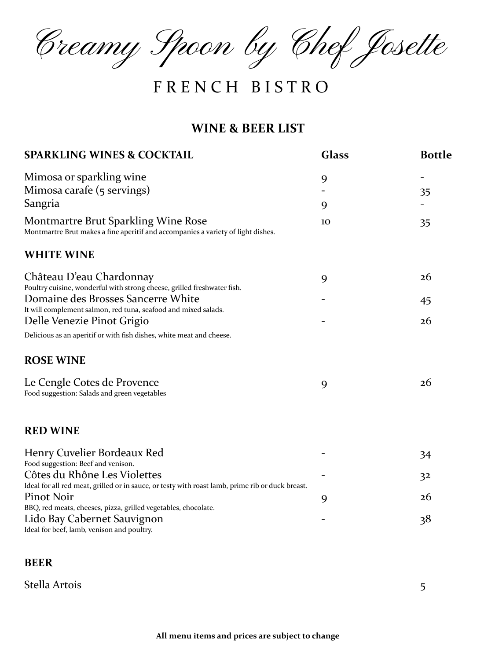Creamy Spoon by Chef Josette

# F R E N C H B I S T R O

## **WINE & BEER LIST**

| <b>SPARKLING WINES &amp; COCKTAIL</b>                                                                                   | <b>Glass</b> | <b>Bottle</b>  |
|-------------------------------------------------------------------------------------------------------------------------|--------------|----------------|
| Mimosa or sparkling wine                                                                                                | 9            |                |
| Mimosa carafe (5 servings)                                                                                              |              | 35             |
| Sangria                                                                                                                 | 9            |                |
| Montmartre Brut Sparkling Wine Rose<br>Montmartre Brut makes a fine aperitif and accompanies a variety of light dishes. | 10           | 35             |
| <b>WHITE WINE</b>                                                                                                       |              |                |
| Château D'eau Chardonnay                                                                                                | 9            | 26             |
| Poultry cuisine, wonderful with strong cheese, grilled freshwater fish.                                                 |              |                |
| Domaine des Brosses Sancerre White                                                                                      |              | 45             |
| It will complement salmon, red tuna, seafood and mixed salads.                                                          |              |                |
| Delle Venezie Pinot Grigio                                                                                              |              | 26             |
| Delicious as an aperitif or with fish dishes, white meat and cheese.                                                    |              |                |
| <b>ROSE WINE</b>                                                                                                        |              |                |
| Le Cengle Cotes de Provence<br>Food suggestion: Salads and green vegetables                                             | 9            | 26             |
| <b>RED WINE</b>                                                                                                         |              |                |
| Henry Cuvelier Bordeaux Red                                                                                             |              | 34             |
| Food suggestion: Beef and venison.                                                                                      |              |                |
| Côtes du Rhône Les Violettes                                                                                            |              | 3 <sup>2</sup> |
| Ideal for all red meat, grilled or in sauce, or testy with roast lamb, prime rib or duck breast.                        |              |                |
| Pinot Noir                                                                                                              | 9            | 26             |
| BBQ, red meats, cheeses, pizza, grilled vegetables, chocolate.                                                          |              |                |
| Lido Bay Cabernet Sauvignon<br>Ideal for beef, lamb, venison and poultry.                                               |              | 38             |

#### **BEER**

Stella Artois 5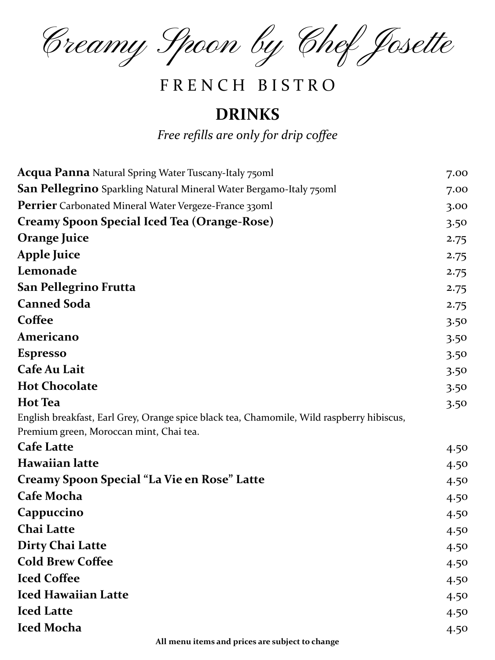Creamy Spoon by Chef Josette

# F R E N C H B I S T R O

# **DRINKS**

*Free refills are only for drip coffee*

| <b>Acqua Panna</b> Natural Spring Water Tuscany-Italy 750ml                                                                          | 7.00 |
|--------------------------------------------------------------------------------------------------------------------------------------|------|
| <b>San Pellegrino</b> Sparkling Natural Mineral Water Bergamo-Italy 750ml                                                            | 7.00 |
| Perrier Carbonated Mineral Water Vergeze-France 330ml                                                                                | 3.00 |
| <b>Creamy Spoon Special Iced Tea (Orange-Rose)</b>                                                                                   | 3.50 |
| <b>Orange Juice</b>                                                                                                                  | 2.75 |
| <b>Apple Juice</b>                                                                                                                   | 2.75 |
| Lemonade                                                                                                                             | 2.75 |
| San Pellegrino Frutta                                                                                                                | 2.75 |
| <b>Canned Soda</b>                                                                                                                   | 2.75 |
| Coffee                                                                                                                               | 3.50 |
| Americano                                                                                                                            | 3.50 |
| <b>Espresso</b>                                                                                                                      | 3.50 |
| Cafe Au Lait                                                                                                                         | 3.50 |
| <b>Hot Chocolate</b>                                                                                                                 | 3.50 |
| <b>Hot Tea</b>                                                                                                                       | 3.50 |
| English breakfast, Earl Grey, Orange spice black tea, Chamomile, Wild raspberry hibiscus,<br>Premium green, Moroccan mint, Chai tea. |      |
| <b>Cafe Latte</b>                                                                                                                    | 4.50 |
| <b>Hawaiian latte</b>                                                                                                                | 4.50 |
| Creamy Spoon Special "La Vie en Rose" Latte                                                                                          | 4.50 |
| <b>Cafe Mocha</b>                                                                                                                    | 4.50 |
| Cappuccino                                                                                                                           | 4.50 |
| <b>Chai Latte</b>                                                                                                                    | 4.50 |
| <b>Dirty Chai Latte</b>                                                                                                              | 4.50 |
| <b>Cold Brew Coffee</b>                                                                                                              | 4.50 |
| <b>Iced Coffee</b>                                                                                                                   | 4.50 |
| <b>Iced Hawaiian Latte</b>                                                                                                           | 4.50 |
| <b>Iced Latte</b>                                                                                                                    | 4.50 |
| <b>Iced Mocha</b>                                                                                                                    | 4.50 |
| All menu items and prices are subject to change                                                                                      |      |